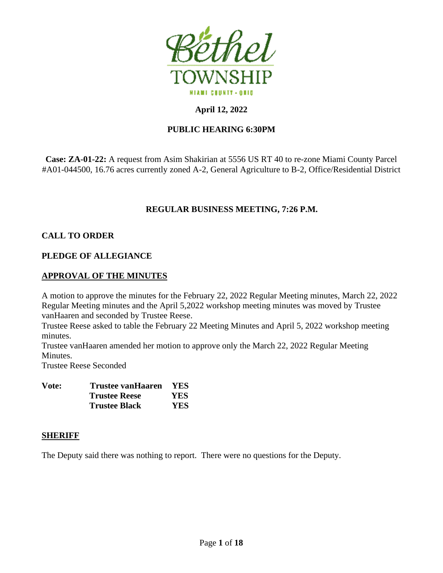

# **April 12, 2022**

# **PUBLIC HEARING 6:30PM**

**Case: ZA-01-22:** A request from Asim Shakirian at 5556 US RT 40 to re-zone Miami County Parcel #A01-044500, 16.76 acres currently zoned A-2, General Agriculture to B-2, Office/Residential District

# **REGULAR BUSINESS MEETING, 7:26 P.M.**

## **CALL TO ORDER**

## **PLEDGE OF ALLEGIANCE**

## **APPROVAL OF THE MINUTES**

A motion to approve the minutes for the February 22, 2022 Regular Meeting minutes, March 22, 2022 Regular Meeting minutes and the April 5,2022 workshop meeting minutes was moved by Trustee vanHaaren and seconded by Trustee Reese.

Trustee Reese asked to table the February 22 Meeting Minutes and April 5, 2022 workshop meeting minutes.

Trustee vanHaaren amended her motion to approve only the March 22, 2022 Regular Meeting Minutes.

Trustee Reese Seconded

| Vote: | Trustee vanHaaren    | <b>YES</b> |
|-------|----------------------|------------|
|       | <b>Trustee Reese</b> | YES.       |
|       | <b>Trustee Black</b> | YES.       |

## **SHERIFF**

The Deputy said there was nothing to report. There were no questions for the Deputy.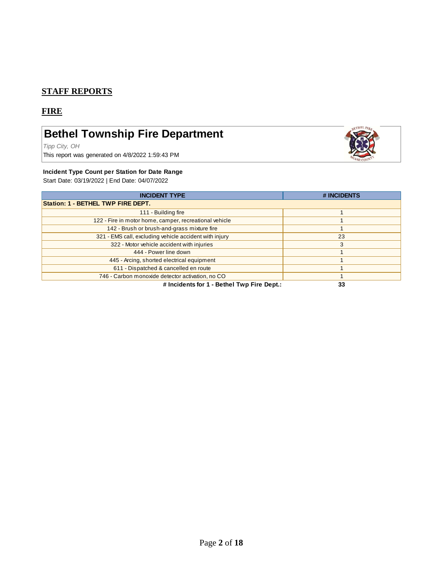## **STAFF REPORTS**

## **FIRE**

# **Bethel Township Fire Department**

*Tipp City, OH*

This report was generated on 4/8/2022 1:59:43 PM



#### **Incident Type Count per Station for Date Range**

Start Date: 03/19/2022 | End Date: 04/07/2022

| <b>INCIDENT TYPE</b>                                   | # INCIDENTS |  |  |  |
|--------------------------------------------------------|-------------|--|--|--|
| <b>Station: 1 - BETHEL TWP FIRE DEPT.</b>              |             |  |  |  |
| 111 - Building fire                                    |             |  |  |  |
| 122 - Fire in motor home, camper, recreational vehicle |             |  |  |  |
| 142 - Brush or brush-and-grass mixture fire            |             |  |  |  |
| 321 - EMS call, excluding vehicle accident with injury | 23          |  |  |  |
| 322 - Motor vehicle accident with injuries             | 3           |  |  |  |
| 444 - Power line down                                  |             |  |  |  |
| 445 - Arcing, shorted electrical equipment             |             |  |  |  |
| 611 - Dispatched & cancelled en route                  |             |  |  |  |
| 746 - Carbon monoxide detector activation, no CO       |             |  |  |  |
| # Incidents for 1 - Bethel Twp Fire Dept.:             | 33          |  |  |  |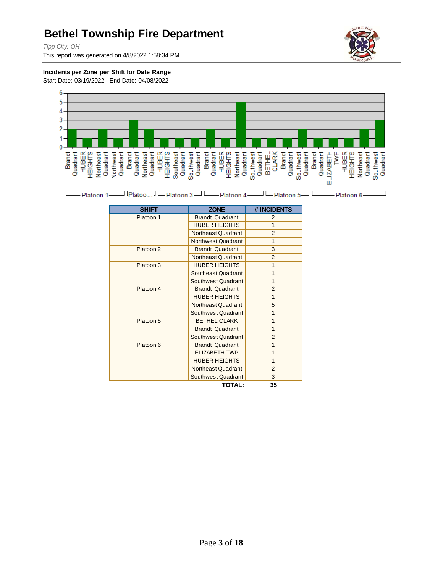# **Bethel Township Fire Department**

*Tipp City, OH*

This report was generated on 4/8/2022 1:58:34 PM



#### **Incidents per Zone per Shift for Date Range**

Start Date: 03/19/2022 | End Date: 04/08/2022



| -Platoon 1- |  |  | Platoon 6- |
|-------------|--|--|------------|
|-------------|--|--|------------|

| <b>SHIFT</b> | <b>ZONE</b>            | # INCIDENTS    |
|--------------|------------------------|----------------|
| Platoon 1    | <b>Brandt Quadrant</b> | $\mathcal{P}$  |
|              | <b>HUBER HEIGHTS</b>   | 1              |
|              | Northeast Quadrant     | $\overline{2}$ |
|              | Northwest Quadrant     | 1              |
| Platoon 2    | <b>Brandt Quadrant</b> | 3              |
|              | Northeast Quadrant     | $\overline{2}$ |
| Platoon 3    | <b>HUBER HEIGHTS</b>   | 1              |
|              | Southeast Quadrant     | 1              |
|              | Southwest Quadrant     | 1              |
| Platoon 4    | <b>Brandt Quadrant</b> | $\overline{2}$ |
|              | <b>HUBER HEIGHTS</b>   | 1              |
|              | Northeast Quadrant     | 5              |
|              | Southwest Quadrant     | 1              |
| Platoon 5    | <b>BETHEL CLARK</b>    | $\overline{1}$ |
|              | <b>Brandt Quadrant</b> | 1              |
|              | Southwest Quadrant     | $\overline{2}$ |
| Platoon 6    | <b>Brandt Quadrant</b> | 1              |
|              | <b>ELIZABETH TWP</b>   | 1              |
|              | <b>HUBER HEIGHTS</b>   | 1              |
|              | Northeast Quadrant     | $\overline{2}$ |
|              | Southwest Quadrant     | 3              |
|              | <b>TOTAL:</b>          | 35             |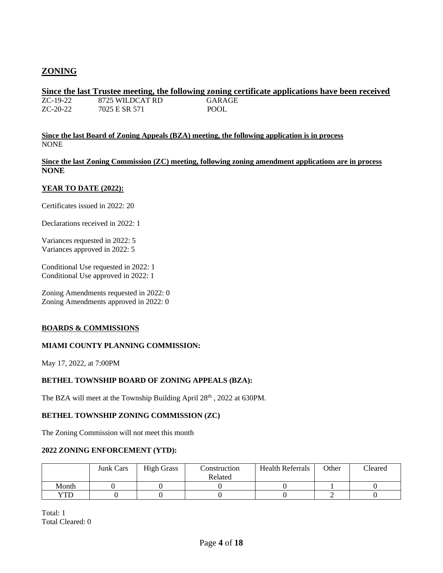# **ZONING**

#### **Since the last Trustee meeting, the following zoning certificate applications have been received** ZC-19-22 8725 WILDCAT RD GARAGE

ZC-20-22 7025 E SR 571 POOL

**Since the last Board of Zoning Appeals (BZA) meeting, the following application is in process** NONE

**Since the last Zoning Commission (ZC) meeting, following zoning amendment applications are in process NONE**

#### **YEAR TO DATE (2022):**

Certificates issued in 2022: 20

Declarations received in 2022: 1

Variances requested in 2022: 5 Variances approved in 2022: 5

Conditional Use requested in 2022: 1 Conditional Use approved in 2022: 1

Zoning Amendments requested in 2022: 0 Zoning Amendments approved in 2022: 0

#### **BOARDS & COMMISSIONS**

#### **MIAMI COUNTY PLANNING COMMISSION:**

May 17, 2022, at 7:00PM

#### **BETHEL TOWNSHIP BOARD OF ZONING APPEALS (BZA):**

The BZA will meet at the Township Building April 28<sup>th</sup>, 2022 at 630PM.

#### **BETHEL TOWNSHIP ZONING COMMISSION (ZC)**

The Zoning Commission will not meet this month

#### **2022 ZONING ENFORCEMENT (YTD):**

|       | <b>Junk Cars</b> | <b>High Grass</b> | Construction | <b>Health Referrals</b> | Other | Cleared |
|-------|------------------|-------------------|--------------|-------------------------|-------|---------|
|       |                  |                   | Related      |                         |       |         |
| Month |                  |                   |              |                         |       |         |
| YTD   |                  |                   |              |                         |       |         |

Total: 1 Total Cleared: 0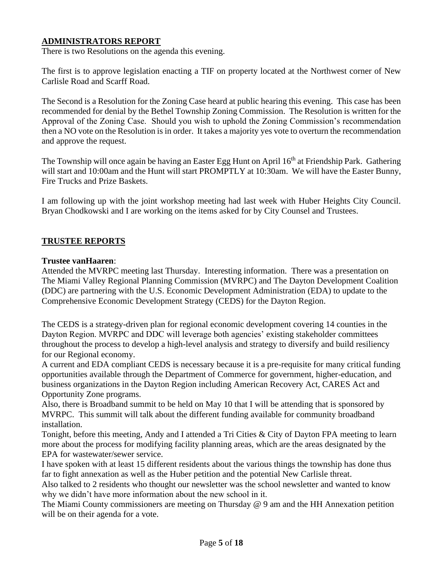# **ADMINISTRATORS REPORT**

There is two Resolutions on the agenda this evening.

The first is to approve legislation enacting a TIF on property located at the Northwest corner of New Carlisle Road and Scarff Road.

The Second is a Resolution for the Zoning Case heard at public hearing this evening. This case has been recommended for denial by the Bethel Township Zoning Commission. The Resolution is written for the Approval of the Zoning Case. Should you wish to uphold the Zoning Commission's recommendation then a NO vote on the Resolution is in order. It takes a majority yes vote to overturn the recommendation and approve the request.

The Township will once again be having an Easter Egg Hunt on April 16<sup>th</sup> at Friendship Park. Gathering will start and 10:00am and the Hunt will start PROMPTLY at 10:30am. We will have the Easter Bunny, Fire Trucks and Prize Baskets.

I am following up with the joint workshop meeting had last week with Huber Heights City Council. Bryan Chodkowski and I are working on the items asked for by City Counsel and Trustees.

# **TRUSTEE REPORTS**

#### **Trustee vanHaaren**:

Attended the MVRPC meeting last Thursday. Interesting information. There was a presentation on The Miami Valley Regional Planning Commission (MVRPC) and The Dayton Development Coalition (DDC) are partnering with the U.S. Economic Development Administration (EDA) to update to the Comprehensive Economic Development Strategy (CEDS) for the Dayton Region.

The CEDS is a strategy-driven plan for regional economic development covering 14 counties in the Dayton Region. MVRPC and DDC will leverage both agencies' existing stakeholder committees throughout the process to develop a high-level analysis and strategy to diversify and build resiliency for our Regional economy.

A current and EDA compliant CEDS is necessary because it is a pre-requisite for many critical funding opportunities available through the Department of Commerce for government, higher-education, and business organizations in the Dayton Region including American Recovery Act, CARES Act and Opportunity Zone programs.

Also, there is Broadband summit to be held on May 10 that I will be attending that is sponsored by MVRPC. This summit will talk about the different funding available for community broadband installation.

Tonight, before this meeting, Andy and I attended a Tri Cities & City of Dayton FPA meeting to learn more about the process for modifying facility planning areas, which are the areas designated by the EPA for wastewater/sewer service.

I have spoken with at least 15 different residents about the various things the township has done thus far to fight annexation as well as the Huber petition and the potential New Carlisle threat.

Also talked to 2 residents who thought our newsletter was the school newsletter and wanted to know why we didn't have more information about the new school in it.

The Miami County commissioners are meeting on Thursday @ 9 am and the HH Annexation petition will be on their agenda for a vote.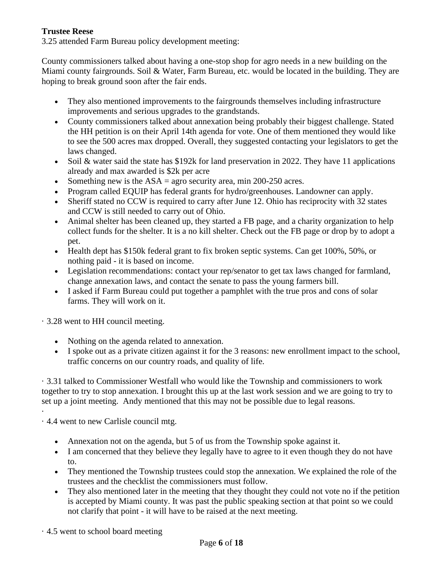## **Trustee Reese**

3.25 attended Farm Bureau policy development meeting:

County commissioners talked about having a one-stop shop for agro needs in a new building on the Miami county fairgrounds. Soil & Water, Farm Bureau, etc. would be located in the building. They are hoping to break ground soon after the fair ends.

- They also mentioned improvements to the fairgrounds themselves including infrastructure improvements and serious upgrades to the grandstands.
- County commissioners talked about annexation being probably their biggest challenge. Stated the HH petition is on their April 14th agenda for vote. One of them mentioned they would like to see the 500 acres max dropped. Overall, they suggested contacting your legislators to get the laws changed.
- Soil & water said the state has \$192k for land preservation in 2022. They have 11 applications already and max awarded is \$2k per acre
- Something new is the  $ASA = agro$  security area, min 200-250 acres.
- Program called EQUIP has federal grants for hydro/greenhouses. Landowner can apply.
- Sheriff stated no CCW is required to carry after June 12. Ohio has reciprocity with 32 states and CCW is still needed to carry out of Ohio.
- Animal shelter has been cleaned up, they started a FB page, and a charity organization to help collect funds for the shelter. It is a no kill shelter. Check out the FB page or drop by to adopt a pet.
- Health dept has \$150k federal grant to fix broken septic systems. Can get 100%, 50%, or nothing paid - it is based on income.
- Legislation recommendations: contact your rep/senator to get tax laws changed for farmland, change annexation laws, and contact the senate to pass the young farmers bill.
- I asked if Farm Bureau could put together a pamphlet with the true pros and cons of solar farms. They will work on it.

· 3.28 went to HH council meeting.

- Nothing on the agenda related to annexation.
- I spoke out as a private citizen against it for the 3 reasons: new enrollment impact to the school, traffic concerns on our country roads, and quality of life.

· 3.31 talked to Commissioner Westfall who would like the Township and commissioners to work together to try to stop annexation. I brought this up at the last work session and we are going to try to set up a joint meeting. Andy mentioned that this may not be possible due to legal reasons.

· 4.4 went to new Carlisle council mtg.

·

- Annexation not on the agenda, but 5 of us from the Township spoke against it.
- I am concerned that they believe they legally have to agree to it even though they do not have to.
- They mentioned the Township trustees could stop the annexation. We explained the role of the trustees and the checklist the commissioners must follow.
- They also mentioned later in the meeting that they thought they could not vote no if the petition is accepted by Miami county. It was past the public speaking section at that point so we could not clarify that point - it will have to be raised at the next meeting.

· 4.5 went to school board meeting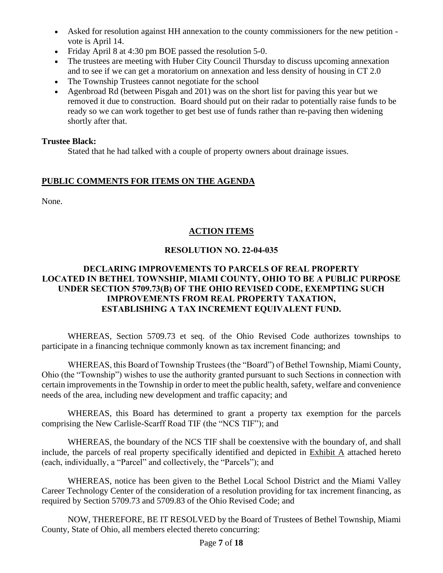- Asked for resolution against HH annexation to the county commissioners for the new petition vote is April 14.
- Friday April 8 at 4:30 pm BOE passed the resolution 5-0.
- The trustees are meeting with Huber City Council Thursday to discuss upcoming annexation and to see if we can get a moratorium on annexation and less density of housing in CT 2.0
- The Township Trustees cannot negotiate for the school
- Agenbroad Rd (between Pisgah and 201) was on the short list for paving this year but we removed it due to construction. Board should put on their radar to potentially raise funds to be ready so we can work together to get best use of funds rather than re-paving then widening shortly after that.

# **Trustee Black:**

Stated that he had talked with a couple of property owners about drainage issues.

# **PUBLIC COMMENTS FOR ITEMS ON THE AGENDA**

None.

# **ACTION ITEMS**

# **RESOLUTION NO. 22-04-035**

## **DECLARING IMPROVEMENTS TO PARCELS OF REAL PROPERTY LOCATED IN BETHEL TOWNSHIP, MIAMI COUNTY, OHIO TO BE A PUBLIC PURPOSE UNDER SECTION 5709.73(B) OF THE OHIO REVISED CODE, EXEMPTING SUCH IMPROVEMENTS FROM REAL PROPERTY TAXATION, ESTABLISHING A TAX INCREMENT EQUIVALENT FUND.**

WHEREAS, Section 5709.73 et seq. of the Ohio Revised Code authorizes townships to participate in a financing technique commonly known as tax increment financing; and

WHEREAS, this Board of Township Trustees (the "Board") of Bethel Township, Miami County, Ohio (the "Township") wishes to use the authority granted pursuant to such Sections in connection with certain improvements in the Township in order to meet the public health, safety, welfare and convenience needs of the area, including new development and traffic capacity; and

WHEREAS, this Board has determined to grant a property tax exemption for the parcels comprising the New Carlisle-Scarff Road TIF (the "NCS TIF"); and

WHEREAS, the boundary of the NCS TIF shall be coextensive with the boundary of, and shall include, the parcels of real property specifically identified and depicted in Exhibit A attached hereto (each, individually, a "Parcel" and collectively, the "Parcels"); and

WHEREAS, notice has been given to the Bethel Local School District and the Miami Valley Career Technology Center of the consideration of a resolution providing for tax increment financing, as required by Section 5709.73 and 5709.83 of the Ohio Revised Code; and

NOW, THEREFORE, BE IT RESOLVED by the Board of Trustees of Bethel Township, Miami County, State of Ohio, all members elected thereto concurring: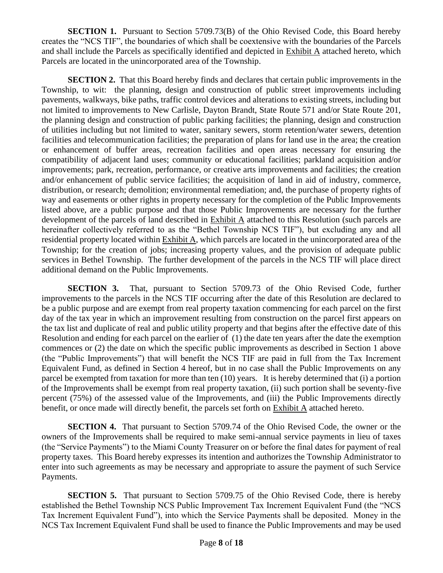**SECTION 1.** Pursuant to Section 5709.73(B) of the Ohio Revised Code, this Board hereby creates the "NCS TIF", the boundaries of which shall be coextensive with the boundaries of the Parcels and shall include the Parcels as specifically identified and depicted in Exhibit A attached hereto, which Parcels are located in the unincorporated area of the Township.

**SECTION 2.** That this Board hereby finds and declares that certain public improvements in the Township, to wit: the planning, design and construction of public street improvements including pavements, walkways, bike paths, traffic control devices and alterations to existing streets, including but not limited to improvements to New Carlisle, Dayton Brandt, State Route 571 and/or State Route 201, the planning design and construction of public parking facilities; the planning, design and construction of utilities including but not limited to water, sanitary sewers, storm retention/water sewers, detention facilities and telecommunication facilities; the preparation of plans for land use in the area; the creation or enhancement of buffer areas, recreation facilities and open areas necessary for ensuring the compatibility of adjacent land uses; community or educational facilities; parkland acquisition and/or improvements; park, recreation, performance, or creative arts improvements and facilities; the creation and/or enhancement of public service facilities; the acquisition of land in aid of industry, commerce, distribution, or research; demolition; environmental remediation; and, the purchase of property rights of way and easements or other rights in property necessary for the completion of the Public Improvements listed above, are a public purpose and that those Public Improvements are necessary for the further development of the parcels of land described in Exhibit A attached to this Resolution (such parcels are hereinafter collectively referred to as the "Bethel Township NCS TIF"), but excluding any and all residential property located within Exhibit A, which parcels are located in the unincorporated area of the Township; for the creation of jobs; increasing property values, and the provision of adequate public services in Bethel Township. The further development of the parcels in the NCS TIF will place direct additional demand on the Public Improvements.

**SECTION 3.** That, pursuant to Section 5709.73 of the Ohio Revised Code, further improvements to the parcels in the NCS TIF occurring after the date of this Resolution are declared to be a public purpose and are exempt from real property taxation commencing for each parcel on the first day of the tax year in which an improvement resulting from construction on the parcel first appears on the tax list and duplicate of real and public utility property and that begins after the effective date of this Resolution and ending for each parcel on the earlier of (1) the date ten years after the date the exemption commences or (2) the date on which the specific public improvements as described in Section 1 above (the "Public Improvements") that will benefit the NCS TIF are paid in full from the Tax Increment Equivalent Fund, as defined in Section 4 hereof, but in no case shall the Public Improvements on any parcel be exempted from taxation for more than ten (10) years. It is hereby determined that (i) a portion of the Improvements shall be exempt from real property taxation, (ii) such portion shall be seventy-five percent (75%) of the assessed value of the Improvements, and (iii) the Public Improvements directly benefit, or once made will directly benefit, the parcels set forth on Exhibit A attached hereto.

**SECTION 4.** That pursuant to Section 5709.74 of the Ohio Revised Code, the owner or the owners of the Improvements shall be required to make semi-annual service payments in lieu of taxes (the "Service Payments") to the Miami County Treasurer on or before the final dates for payment of real property taxes. This Board hereby expresses its intention and authorizes the Township Administrator to enter into such agreements as may be necessary and appropriate to assure the payment of such Service Payments.

**SECTION 5.** That pursuant to Section 5709.75 of the Ohio Revised Code, there is hereby established the Bethel Township NCS Public Improvement Tax Increment Equivalent Fund (the "NCS Tax Increment Equivalent Fund"), into which the Service Payments shall be deposited. Money in the NCS Tax Increment Equivalent Fund shall be used to finance the Public Improvements and may be used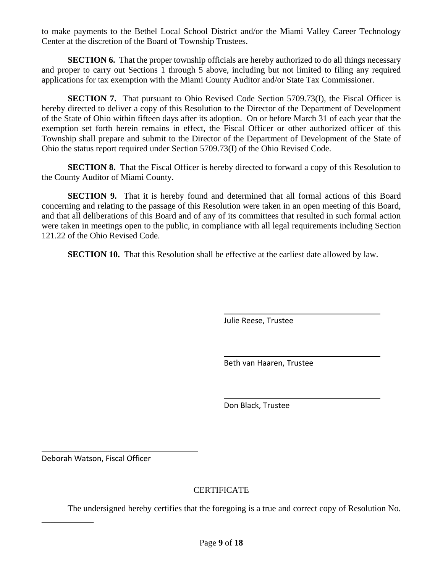to make payments to the Bethel Local School District and/or the Miami Valley Career Technology Center at the discretion of the Board of Township Trustees.

**SECTION 6.** That the proper township officials are hereby authorized to do all things necessary and proper to carry out Sections 1 through 5 above, including but not limited to filing any required applications for tax exemption with the Miami County Auditor and/or State Tax Commissioner.

**SECTION 7.** That pursuant to Ohio Revised Code Section 5709.73(I), the Fiscal Officer is hereby directed to deliver a copy of this Resolution to the Director of the Department of Development of the State of Ohio within fifteen days after its adoption. On or before March 31 of each year that the exemption set forth herein remains in effect, the Fiscal Officer or other authorized officer of this Township shall prepare and submit to the Director of the Department of Development of the State of Ohio the status report required under Section 5709.73(I) of the Ohio Revised Code.

**SECTION 8.** That the Fiscal Officer is hereby directed to forward a copy of this Resolution to the County Auditor of Miami County.

**SECTION 9.** That it is hereby found and determined that all formal actions of this Board concerning and relating to the passage of this Resolution were taken in an open meeting of this Board, and that all deliberations of this Board and of any of its committees that resulted in such formal action were taken in meetings open to the public, in compliance with all legal requirements including Section 121.22 of the Ohio Revised Code.

**SECTION 10.** That this Resolution shall be effective at the earliest date allowed by law.

Julie Reese, Trustee

Beth van Haaren, Trustee

Don Black, Trustee

Deborah Watson, Fiscal Officer

\_\_\_\_\_\_\_\_\_\_\_\_

## **CERTIFICATE**

The undersigned hereby certifies that the foregoing is a true and correct copy of Resolution No.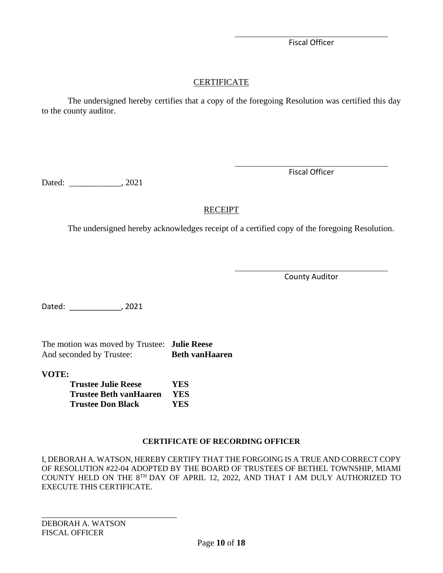Fiscal Officer

# **CERTIFICATE**

The undersigned hereby certifies that a copy of the foregoing Resolution was certified this day to the county auditor.

Dated: \_\_\_\_\_\_\_\_\_\_\_\_\_, 2021

Fiscal Officer

# RECEIPT

The undersigned hereby acknowledges receipt of a certified copy of the foregoing Resolution.

County Auditor

Dated: \_\_\_\_\_\_\_\_\_\_\_\_, 2021

The motion was moved by Trustee: **Julie Reese** And seconded by Trustee: **Beth vanHaaren** 

**VOTE:**

| <b>Trustee Julie Reese</b>    | YES  |
|-------------------------------|------|
| <b>Trustee Beth vanHaaren</b> | YES. |
| <b>Trustee Don Black</b>      | YES  |

# **CERTIFICATE OF RECORDING OFFICER**

I, DEBORAH A. WATSON, HEREBY CERTIFY THAT THE FORGOING IS A TRUE AND CORRECT COPY OF RESOLUTION #22-04 ADOPTED BY THE BOARD OF TRUSTEES OF BETHEL TOWNSHIP, MIAMI COUNTY HELD ON THE 8TH DAY OF APRIL 12, 2022, AND THAT I AM DULY AUTHORIZED TO EXECUTE THIS CERTIFICATE.

DEBORAH A. WATSON FISCAL OFFICER

\_\_\_\_\_\_\_\_\_\_\_\_\_\_\_\_\_\_\_\_\_\_\_\_\_\_\_\_\_\_\_\_\_\_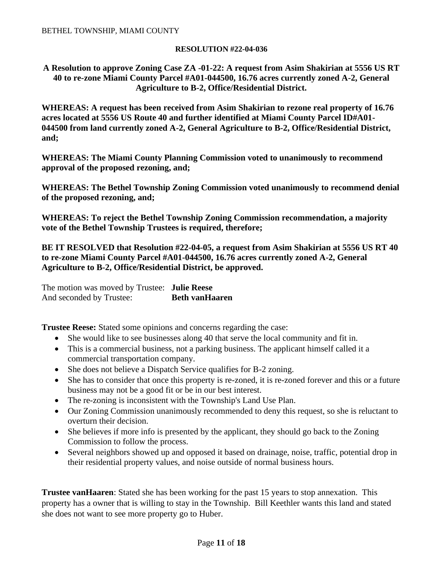#### **RESOLUTION #22-04-036**

#### **A Resolution to approve Zoning Case ZA -01-22: A request from Asim Shakirian at 5556 US RT 40 to re-zone Miami County Parcel #A01-044500, 16.76 acres currently zoned A-2, General Agriculture to B-2, Office/Residential District.**

**WHEREAS: A request has been received from Asim Shakirian to rezone real property of 16.76 acres located at 5556 US Route 40 and further identified at Miami County Parcel ID#A01- 044500 from land currently zoned A-2, General Agriculture to B-2, Office/Residential District, and;**

**WHEREAS: The Miami County Planning Commission voted to unanimously to recommend approval of the proposed rezoning, and;** 

**WHEREAS: The Bethel Township Zoning Commission voted unanimously to recommend denial of the proposed rezoning, and;**

**WHEREAS: To reject the Bethel Township Zoning Commission recommendation, a majority vote of the Bethel Township Trustees is required, therefore;**

**BE IT RESOLVED that Resolution #22-04-05, a request from Asim Shakirian at 5556 US RT 40 to re-zone Miami County Parcel #A01-044500, 16.76 acres currently zoned A-2, General Agriculture to B-2, Office/Residential District, be approved.**

The motion was moved by Trustee: **Julie Reese** And seconded by Trustee: **Beth vanHaaren** 

**Trustee Reese:** Stated some opinions and concerns regarding the case:

- She would like to see businesses along 40 that serve the local community and fit in.
- This is a commercial business, not a parking business. The applicant himself called it a commercial transportation company.
- She does not believe a Dispatch Service qualifies for B-2 zoning.
- She has to consider that once this property is re-zoned, it is re-zoned forever and this or a future business may not be a good fit or be in our best interest.
- The re-zoning is inconsistent with the Township's Land Use Plan.
- Our Zoning Commission unanimously recommended to deny this request, so she is reluctant to overturn their decision.
- She believes if more info is presented by the applicant, they should go back to the Zoning Commission to follow the process.
- Several neighbors showed up and opposed it based on drainage, noise, traffic, potential drop in their residential property values, and noise outside of normal business hours.

**Trustee vanHaaren**: Stated she has been working for the past 15 years to stop annexation. This property has a owner that is willing to stay in the Township. Bill Keethler wants this land and stated she does not want to see more property go to Huber.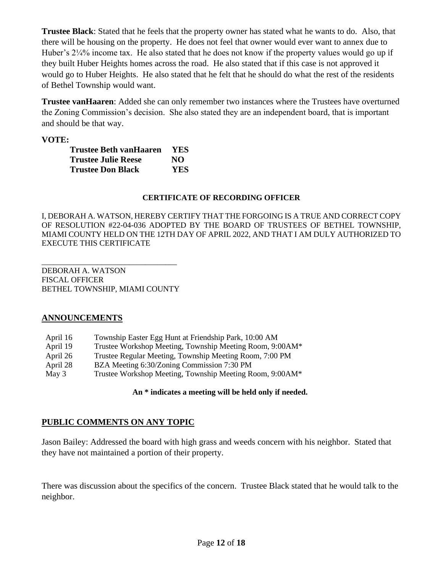**Trustee Black**: Stated that he feels that the property owner has stated what he wants to do. Also, that there will be housing on the property. He does not feel that owner would ever want to annex due to Huber's 2¼% income tax. He also stated that he does not know if the property values would go up if they built Huber Heights homes across the road. He also stated that if this case is not approved it would go to Huber Heights. He also stated that he felt that he should do what the rest of the residents of Bethel Township would want.

**Trustee vanHaaren**: Added she can only remember two instances where the Trustees have overturned the Zoning Commission's decision. She also stated they are an independent board, that is important and should be that way.

## **VOTE:**

| Trustee Beth vanHaaren     | <b>YES</b> |
|----------------------------|------------|
| <b>Trustee Julie Reese</b> | NO.        |
| <b>Trustee Don Black</b>   | <b>YES</b> |

#### **CERTIFICATE OF RECORDING OFFICER**

I, DEBORAH A. WATSON, HEREBY CERTIFY THAT THE FORGOING IS A TRUE AND CORRECT COPY OF RESOLUTION #22-04-036 ADOPTED BY THE BOARD OF TRUSTEES OF BETHEL TOWNSHIP, MIAMI COUNTY HELD ON THE 12TH DAY OF APRIL 2022, AND THAT I AM DULY AUTHORIZED TO EXECUTE THIS CERTIFICATE

DEBORAH A. WATSON FISCAL OFFICER BETHEL TOWNSHIP, MIAMI COUNTY

\_\_\_\_\_\_\_\_\_\_\_\_\_\_\_\_\_\_\_\_\_\_\_\_\_\_\_\_\_\_\_\_\_\_

## **ANNOUNCEMENTS**

| April 16 | Township Easter Egg Hunt at Friendship Park, 10:00 AM    |
|----------|----------------------------------------------------------|
| April 19 | Trustee Workshop Meeting, Township Meeting Room, 9:00AM* |
| April 26 | Trustee Regular Meeting, Township Meeting Room, 7:00 PM  |
| April 28 | BZA Meeting 6:30/Zoning Commission 7:30 PM               |
| May 3    | Trustee Workshop Meeting, Township Meeting Room, 9:00AM* |

## **An \* indicates a meeting will be held only if needed.**

# **PUBLIC COMMENTS ON ANY TOPIC**

Jason Bailey: Addressed the board with high grass and weeds concern with his neighbor. Stated that they have not maintained a portion of their property.

There was discussion about the specifics of the concern. Trustee Black stated that he would talk to the neighbor.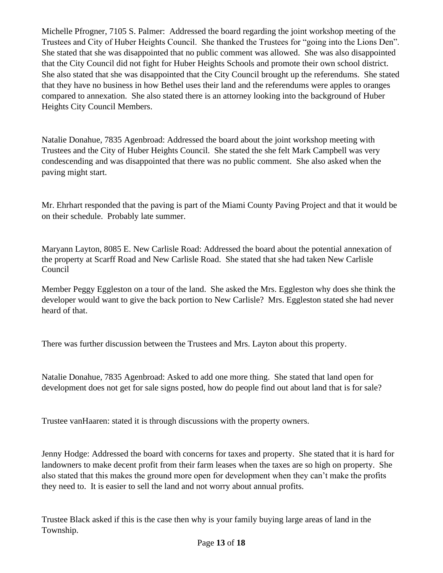Michelle Pfrogner, 7105 S. Palmer: Addressed the board regarding the joint workshop meeting of the Trustees and City of Huber Heights Council. She thanked the Trustees for "going into the Lions Den". She stated that she was disappointed that no public comment was allowed. She was also disappointed that the City Council did not fight for Huber Heights Schools and promote their own school district. She also stated that she was disappointed that the City Council brought up the referendums. She stated that they have no business in how Bethel uses their land and the referendums were apples to oranges compared to annexation. She also stated there is an attorney looking into the background of Huber Heights City Council Members.

Natalie Donahue, 7835 Agenbroad: Addressed the board about the joint workshop meeting with Trustees and the City of Huber Heights Council. She stated the she felt Mark Campbell was very condescending and was disappointed that there was no public comment. She also asked when the paving might start.

Mr. Ehrhart responded that the paving is part of the Miami County Paving Project and that it would be on their schedule. Probably late summer.

Maryann Layton, 8085 E. New Carlisle Road: Addressed the board about the potential annexation of the property at Scarff Road and New Carlisle Road. She stated that she had taken New Carlisle Council

Member Peggy Eggleston on a tour of the land. She asked the Mrs. Eggleston why does she think the developer would want to give the back portion to New Carlisle? Mrs. Eggleston stated she had never heard of that.

There was further discussion between the Trustees and Mrs. Layton about this property.

Natalie Donahue, 7835 Agenbroad: Asked to add one more thing. She stated that land open for development does not get for sale signs posted, how do people find out about land that is for sale?

Trustee vanHaaren: stated it is through discussions with the property owners.

Jenny Hodge: Addressed the board with concerns for taxes and property. She stated that it is hard for landowners to make decent profit from their farm leases when the taxes are so high on property. She also stated that this makes the ground more open for development when they can't make the profits they need to. It is easier to sell the land and not worry about annual profits.

Trustee Black asked if this is the case then why is your family buying large areas of land in the Township.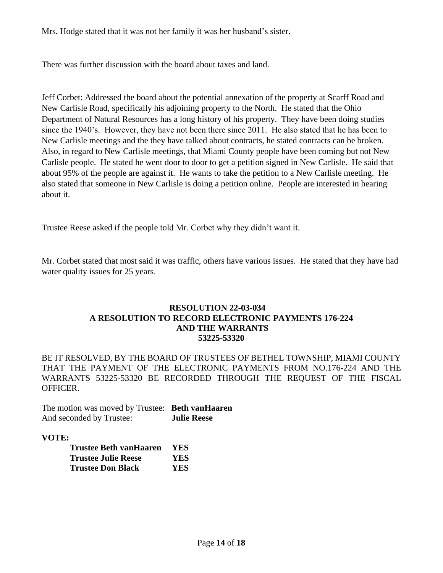Mrs. Hodge stated that it was not her family it was her husband's sister.

There was further discussion with the board about taxes and land.

Jeff Corbet: Addressed the board about the potential annexation of the property at Scarff Road and New Carlisle Road, specifically his adjoining property to the North. He stated that the Ohio Department of Natural Resources has a long history of his property. They have been doing studies since the 1940's. However, they have not been there since 2011. He also stated that he has been to New Carlisle meetings and the they have talked about contracts, he stated contracts can be broken. Also, in regard to New Carlisle meetings, that Miami County people have been coming but not New Carlisle people. He stated he went door to door to get a petition signed in New Carlisle. He said that about 95% of the people are against it. He wants to take the petition to a New Carlisle meeting. He also stated that someone in New Carlisle is doing a petition online. People are interested in hearing about it.

Trustee Reese asked if the people told Mr. Corbet why they didn't want it.

Mr. Corbet stated that most said it was traffic, others have various issues. He stated that they have had water quality issues for 25 years.

#### **RESOLUTION 22-03-034 A RESOLUTION TO RECORD ELECTRONIC PAYMENTS 176-224 AND THE WARRANTS 53225-53320**

BE IT RESOLVED, BY THE BOARD OF TRUSTEES OF BETHEL TOWNSHIP, MIAMI COUNTY THAT THE PAYMENT OF THE ELECTRONIC PAYMENTS FROM NO.176-224 AND THE WARRANTS 53225-53320 BE RECORDED THROUGH THE REQUEST OF THE FISCAL OFFICER.

The motion was moved by Trustee: **Beth vanHaaren** And seconded by Trustee: **Julie Reese**

## **VOTE:**

| Trustee Beth vanHaaren     | <b>YES</b> |
|----------------------------|------------|
| <b>Trustee Julie Reese</b> | YES.       |
| <b>Trustee Don Black</b>   | YES.       |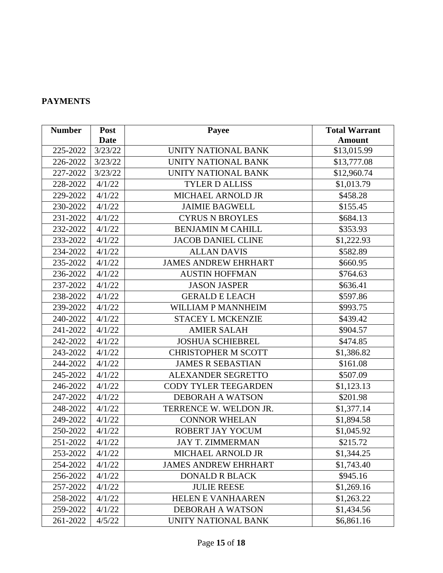# **PAYMENTS**

| <b>Number</b> | Post        | Payee                       | <b>Total Warrant</b> |
|---------------|-------------|-----------------------------|----------------------|
|               | <b>Date</b> |                             | <b>Amount</b>        |
| 225-2022      | 3/23/22     | UNITY NATIONAL BANK         | \$13,015.99          |
| 226-2022      | 3/23/22     | UNITY NATIONAL BANK         | \$13,777.08          |
| 227-2022      | 3/23/22     | UNITY NATIONAL BANK         | \$12,960.74          |
| 228-2022      | 4/1/22      | <b>TYLER D ALLISS</b>       | \$1,013.79           |
| 229-2022      | 4/1/22      | MICHAEL ARNOLD JR           | \$458.28             |
| 230-2022      | 4/1/22      | <b>JAIMIE BAGWELL</b>       | \$155.45             |
| 231-2022      | 4/1/22      | <b>CYRUS N BROYLES</b>      | \$684.13             |
| 232-2022      | 4/1/22      | <b>BENJAMIN M CAHILL</b>    | \$353.93             |
| 233-2022      | 4/1/22      | <b>JACOB DANIEL CLINE</b>   | \$1,222.93           |
| 234-2022      | 4/1/22      | <b>ALLAN DAVIS</b>          | \$582.89             |
| 235-2022      | 4/1/22      | <b>JAMES ANDREW EHRHART</b> | \$660.95             |
| 236-2022      | 4/1/22      | <b>AUSTIN HOFFMAN</b>       | \$764.63             |
| 237-2022      | 4/1/22      | <b>JASON JASPER</b>         | \$636.41             |
| 238-2022      | 4/1/22      | <b>GERALD E LEACH</b>       | \$597.86             |
| 239-2022      | 4/1/22      | WILLIAM P MANNHEIM          | \$993.75             |
| 240-2022      | 4/1/22      | <b>STACEY L MCKENZIE</b>    | \$439.42             |
| 241-2022      | 4/1/22      | <b>AMIER SALAH</b>          | \$904.57             |
| 242-2022      | 4/1/22      | <b>JOSHUA SCHIEBREL</b>     | \$474.85             |
| 243-2022      | 4/1/22      | <b>CHRISTOPHER M SCOTT</b>  | \$1,386.82           |
| 244-2022      | 4/1/22      | <b>JAMES R SEBASTIAN</b>    | \$161.08             |
| 245-2022      | 4/1/22      | <b>ALEXANDER SEGRETTO</b>   | \$507.09             |
| 246-2022      | 4/1/22      | <b>CODY TYLER TEEGARDEN</b> | \$1,123.13           |
| 247-2022      | 4/1/22      | <b>DEBORAH A WATSON</b>     | \$201.98             |
| 248-2022      | 4/1/22      | TERRENCE W. WELDON JR.      | \$1,377.14           |
| 249-2022      | 4/1/22      | <b>CONNOR WHELAN</b>        | \$1,894.58           |
| 250-2022      | 4/1/22      | ROBERT JAY YOCUM            | \$1,045.92           |
| 251-2022      | 4/1/22      | <b>JAY T. ZIMMERMAN</b>     | \$215.72             |
| 253-2022      | 4/1/22      | MICHAEL ARNOLD JR           | \$1,344.25           |
| 254-2022      | 4/1/22      | <b>JAMES ANDREW EHRHART</b> | \$1,743.40           |
| 256-2022      | 4/1/22      | <b>DONALD R BLACK</b>       | \$945.16             |
| 257-2022      | 4/1/22      | <b>JULIE REESE</b>          | \$1,269.16           |
| 258-2022      | 4/1/22      | <b>HELEN E VANHAAREN</b>    | \$1,263.22           |
| 259-2022      | 4/1/22      | <b>DEBORAH A WATSON</b>     | \$1,434.56           |
| 261-2022      | 4/5/22      | UNITY NATIONAL BANK         | \$6,861.16           |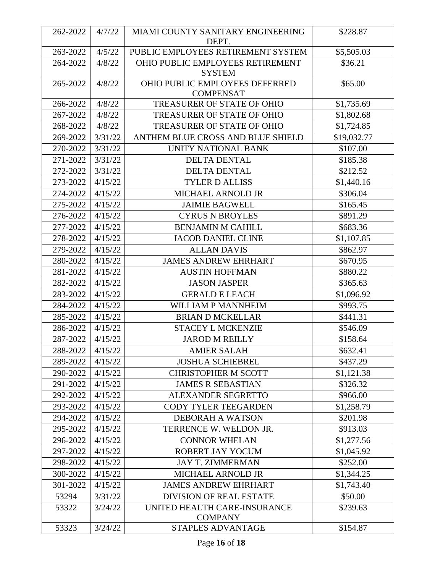| 262-2022 | 4/7/22  | MIAMI COUNTY SANITARY ENGINEERING<br>DEPT.         | \$228.87    |
|----------|---------|----------------------------------------------------|-------------|
| 263-2022 | 4/5/22  | PUBLIC EMPLOYEES RETIREMENT SYSTEM                 | \$5,505.03  |
| 264-2022 | 4/8/22  | OHIO PUBLIC EMPLOYEES RETIREMENT<br><b>SYSTEM</b>  | \$36.21     |
| 265-2022 | 4/8/22  | OHIO PUBLIC EMPLOYEES DEFERRED<br><b>COMPENSAT</b> | \$65.00     |
| 266-2022 | 4/8/22  | TREASURER OF STATE OF OHIO                         | \$1,735.69  |
| 267-2022 | 4/8/22  | <b>TREASURER OF STATE OF OHIO</b>                  | \$1,802.68  |
| 268-2022 | 4/8/22  | <b>TREASURER OF STATE OF OHIO</b>                  | \$1,724.85  |
| 269-2022 | 3/31/22 | ANTHEM BLUE CROSS AND BLUE SHIELD                  | \$19,032.77 |
| 270-2022 | 3/31/22 | UNITY NATIONAL BANK                                | \$107.00    |
| 271-2022 | 3/31/22 | <b>DELTA DENTAL</b>                                | \$185.38    |
| 272-2022 | 3/31/22 | <b>DELTA DENTAL</b>                                | \$212.52    |
| 273-2022 | 4/15/22 | <b>TYLER D ALLISS</b>                              | \$1,440.16  |
| 274-2022 | 4/15/22 | <b>MICHAEL ARNOLD JR</b>                           | \$306.04    |
| 275-2022 | 4/15/22 | <b>JAIMIE BAGWELL</b>                              | \$165.45    |
| 276-2022 | 4/15/22 | <b>CYRUS N BROYLES</b>                             | \$891.29    |
| 277-2022 | 4/15/22 | <b>BENJAMIN M CAHILL</b>                           | \$683.36    |
| 278-2022 | 4/15/22 | <b>JACOB DANIEL CLINE</b>                          | \$1,107.85  |
| 279-2022 | 4/15/22 | <b>ALLAN DAVIS</b>                                 | \$862.97    |
| 280-2022 | 4/15/22 | <b>JAMES ANDREW EHRHART</b>                        | \$670.95    |
| 281-2022 | 4/15/22 | <b>AUSTIN HOFFMAN</b>                              | \$880.22    |
| 282-2022 | 4/15/22 | <b>JASON JASPER</b>                                | \$365.63    |
| 283-2022 | 4/15/22 | <b>GERALD E LEACH</b>                              | \$1,096.92  |
| 284-2022 | 4/15/22 | WILLIAM P MANNHEIM                                 | \$993.75    |
| 285-2022 | 4/15/22 | <b>BRIAN D MCKELLAR</b>                            | \$441.31    |
| 286-2022 | 4/15/22 | <b>STACEY L MCKENZIE</b>                           | \$546.09    |
| 287-2022 | 4/15/22 | <b>JAROD M REILLY</b>                              | \$158.64    |
| 288-2022 | 4/15/22 | <b>AMIER SALAH</b>                                 | \$632.41    |
| 289-2022 | 4/15/22 | <b>JOSHUA SCHIEBREL</b>                            | \$437.29    |
| 290-2022 | 4/15/22 | <b>CHRISTOPHER M SCOTT</b>                         | \$1,121.38  |
| 291-2022 | 4/15/22 | <b>JAMES R SEBASTIAN</b>                           | \$326.32    |
| 292-2022 | 4/15/22 | <b>ALEXANDER SEGRETTO</b>                          | \$966.00    |
| 293-2022 | 4/15/22 | <b>CODY TYLER TEEGARDEN</b>                        | \$1,258.79  |
| 294-2022 | 4/15/22 | <b>DEBORAH A WATSON</b>                            | \$201.98    |
| 295-2022 | 4/15/22 | TERRENCE W. WELDON JR.                             | \$913.03    |
| 296-2022 | 4/15/22 | <b>CONNOR WHELAN</b>                               | \$1,277.56  |
| 297-2022 | 4/15/22 | ROBERT JAY YOCUM                                   | \$1,045.92  |
| 298-2022 | 4/15/22 | <b>JAY T. ZIMMERMAN</b>                            | \$252.00    |
| 300-2022 | 4/15/22 | MICHAEL ARNOLD JR                                  | \$1,344.25  |
| 301-2022 | 4/15/22 | <b>JAMES ANDREW EHRHART</b>                        | \$1,743.40  |
| 53294    | 3/31/22 | <b>DIVISION OF REAL ESTATE</b>                     | \$50.00     |
| 53322    | 3/24/22 | UNITED HEALTH CARE-INSURANCE<br><b>COMPANY</b>     | \$239.63    |
| 53323    | 3/24/22 | STAPLES ADVANTAGE                                  | \$154.87    |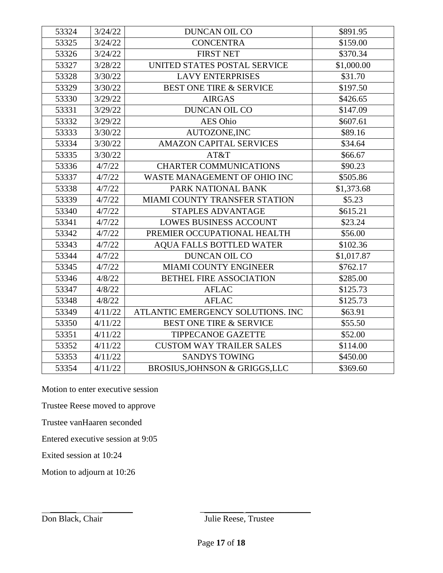| 53324 | 3/24/22 | DUNCAN OIL CO                      | \$891.95   |
|-------|---------|------------------------------------|------------|
| 53325 | 3/24/22 | <b>CONCENTRA</b>                   | \$159.00   |
| 53326 | 3/24/22 | <b>FIRST NET</b>                   | \$370.34   |
| 53327 | 3/28/22 | UNITED STATES POSTAL SERVICE       | \$1,000.00 |
| 53328 | 3/30/22 | <b>LAVY ENTERPRISES</b>            | \$31.70    |
| 53329 | 3/30/22 | <b>BEST ONE TIRE &amp; SERVICE</b> | \$197.50   |
| 53330 | 3/29/22 | <b>AIRGAS</b>                      | \$426.65   |
| 53331 | 3/29/22 | <b>DUNCAN OIL CO</b>               | \$147.09   |
| 53332 | 3/29/22 | <b>AES Ohio</b>                    | \$607.61   |
| 53333 | 3/30/22 | AUTOZONE, INC                      | \$89.16    |
| 53334 | 3/30/22 | <b>AMAZON CAPITAL SERVICES</b>     | \$34.64    |
| 53335 | 3/30/22 | AT&T                               | \$66.67    |
| 53336 | 4/7/22  | <b>CHARTER COMMUNICATIONS</b>      | \$90.23    |
| 53337 | 4/7/22  | WASTE MANAGEMENT OF OHIO INC       | \$505.86   |
| 53338 | 4/7/22  | PARK NATIONAL BANK                 | \$1,373.68 |
| 53339 | 4/7/22  | MIAMI COUNTY TRANSFER STATION      | \$5.23     |
| 53340 | 4/7/22  | <b>STAPLES ADVANTAGE</b>           | \$615.21   |
| 53341 | 4/7/22  | <b>LOWES BUSINESS ACCOUNT</b>      | \$23.24    |
| 53342 | 4/7/22  | PREMIER OCCUPATIONAL HEALTH        | \$56.00    |
| 53343 | 4/7/22  | <b>AQUA FALLS BOTTLED WATER</b>    | \$102.36   |
| 53344 | 4/7/22  | <b>DUNCAN OIL CO</b>               | \$1,017.87 |
| 53345 | 4/7/22  | <b>MIAMI COUNTY ENGINEER</b>       | \$762.17   |
| 53346 | 4/8/22  | <b>BETHEL FIRE ASSOCIATION</b>     | \$285.00   |
| 53347 | 4/8/22  | <b>AFLAC</b>                       | \$125.73   |
| 53348 | 4/8/22  | <b>AFLAC</b>                       | \$125.73   |
| 53349 | 4/11/22 | ATLANTIC EMERGENCY SOLUTIONS. INC  | \$63.91    |
| 53350 | 4/11/22 | <b>BEST ONE TIRE &amp; SERVICE</b> | \$55.50    |
| 53351 | 4/11/22 | <b>TIPPECANOE GAZETTE</b>          | \$52.00    |
| 53352 | 4/11/22 | <b>CUSTOM WAY TRAILER SALES</b>    | \$114.00   |
| 53353 | 4/11/22 | <b>SANDYS TOWING</b>               | \$450.00   |
| 53354 | 4/11/22 | BROSIUS, JOHNSON & GRIGGS, LLC     | \$369.60   |

Motion to enter executive session

Trustee Reese moved to approve

Trustee vanHaaren seconded

Entered executive session at 9:05

Exited session at 10:24

Motion to adjourn at 10:26

 $\overline{\phantom{a}}$  ,  $\overline{\phantom{a}}$  ,  $\overline{\phantom{a}}$  ,  $\overline{\phantom{a}}$  ,  $\overline{\phantom{a}}$  ,  $\overline{\phantom{a}}$  ,  $\overline{\phantom{a}}$  ,  $\overline{\phantom{a}}$  ,  $\overline{\phantom{a}}$  ,  $\overline{\phantom{a}}$  ,  $\overline{\phantom{a}}$  ,  $\overline{\phantom{a}}$  ,  $\overline{\phantom{a}}$  ,  $\overline{\phantom{a}}$  ,  $\overline{\phantom{a}}$  ,  $\overline{\phantom{a}}$